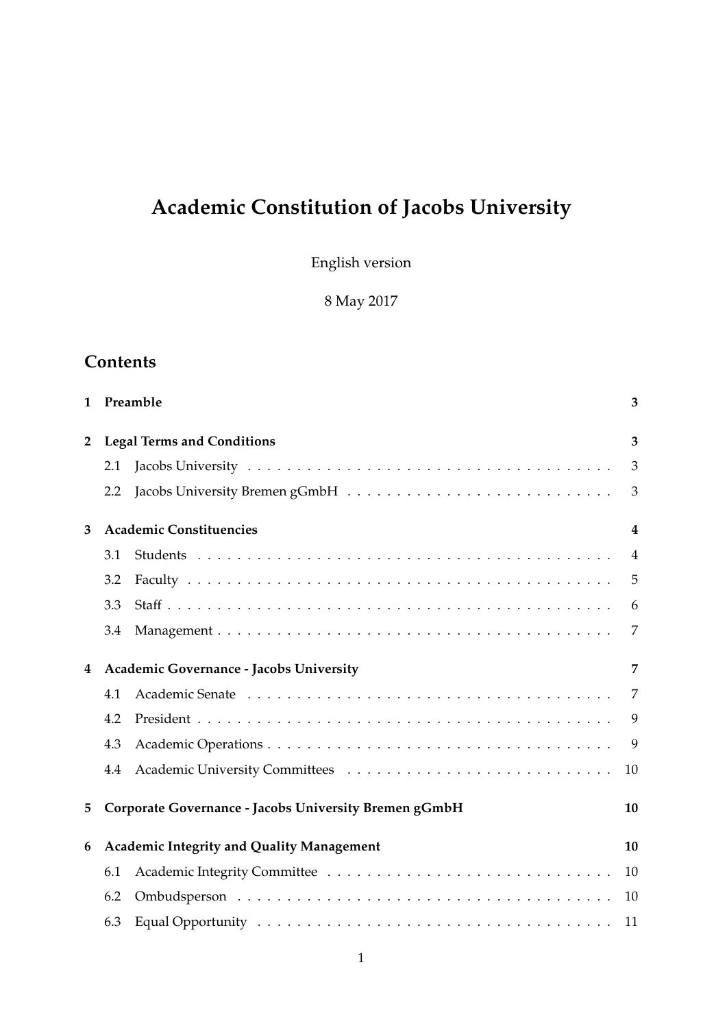# **Academic Constitution of Jacobs University**

English version

8 May 2017

# **Contents**

| 1              |                                         | Preamble                                              | 3              |  |
|----------------|-----------------------------------------|-------------------------------------------------------|----------------|--|
| $\overline{2}$ | <b>Legal Terms and Conditions</b>       |                                                       |                |  |
|                | 2.1                                     |                                                       | 3              |  |
|                | 2.2                                     |                                                       | 3              |  |
| 3              |                                         | <b>Academic Constituencies</b>                        | 4              |  |
|                | 3.1                                     |                                                       | $\overline{4}$ |  |
|                | 3.2                                     |                                                       | 5              |  |
|                | 3.3                                     |                                                       | 6              |  |
|                | 3.4                                     |                                                       | 7              |  |
| 4              | Academic Governance - Jacobs University |                                                       |                |  |
|                | 4.1                                     |                                                       | 7              |  |
|                | 4.2                                     |                                                       | 9              |  |
|                | 4.3                                     |                                                       | 9              |  |
|                | 4.4                                     |                                                       | 10             |  |
| 5              |                                         | Corporate Governance - Jacobs University Bremen gGmbH | 10             |  |
| 6              |                                         | <b>Academic Integrity and Quality Management</b>      | 10             |  |
|                | 6.1                                     |                                                       | 10             |  |
|                | 6.2                                     |                                                       | 10             |  |
|                | 6.3                                     |                                                       | 11             |  |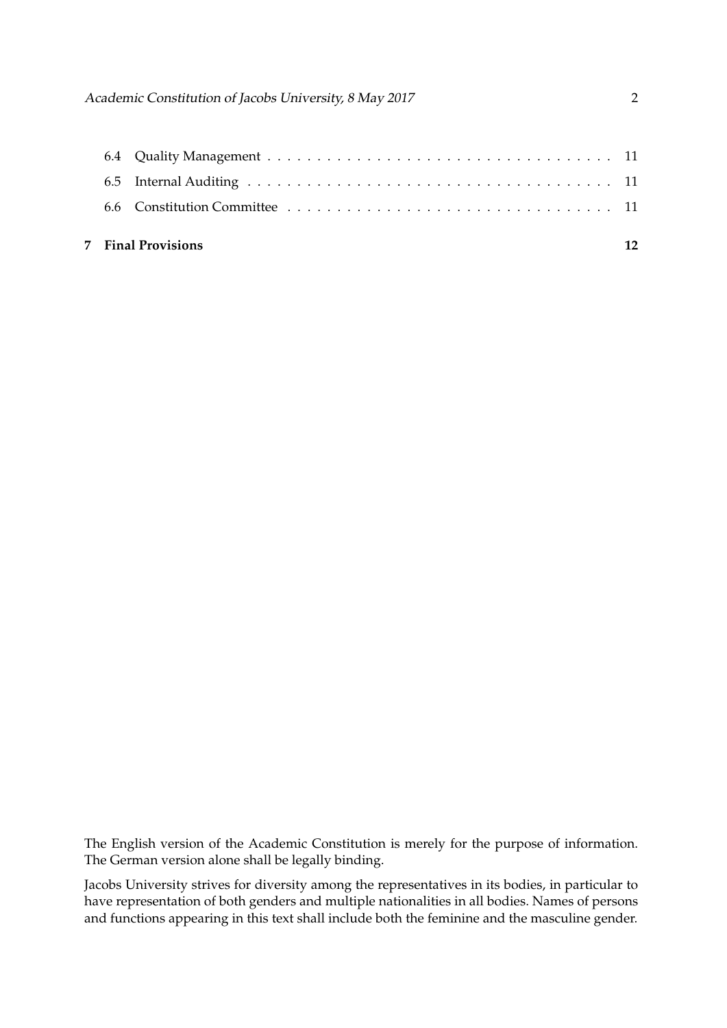|  | 7 Final Provisions |  |
|--|--------------------|--|
|  |                    |  |
|  |                    |  |
|  |                    |  |

The English version of the Academic Constitution is merely for the purpose of information. The German version alone shall be legally binding.

Jacobs University strives for diversity among the representatives in its bodies, in particular to have representation of both genders and multiple nationalities in all bodies. Names of persons and functions appearing in this text shall include both the feminine and the masculine gender.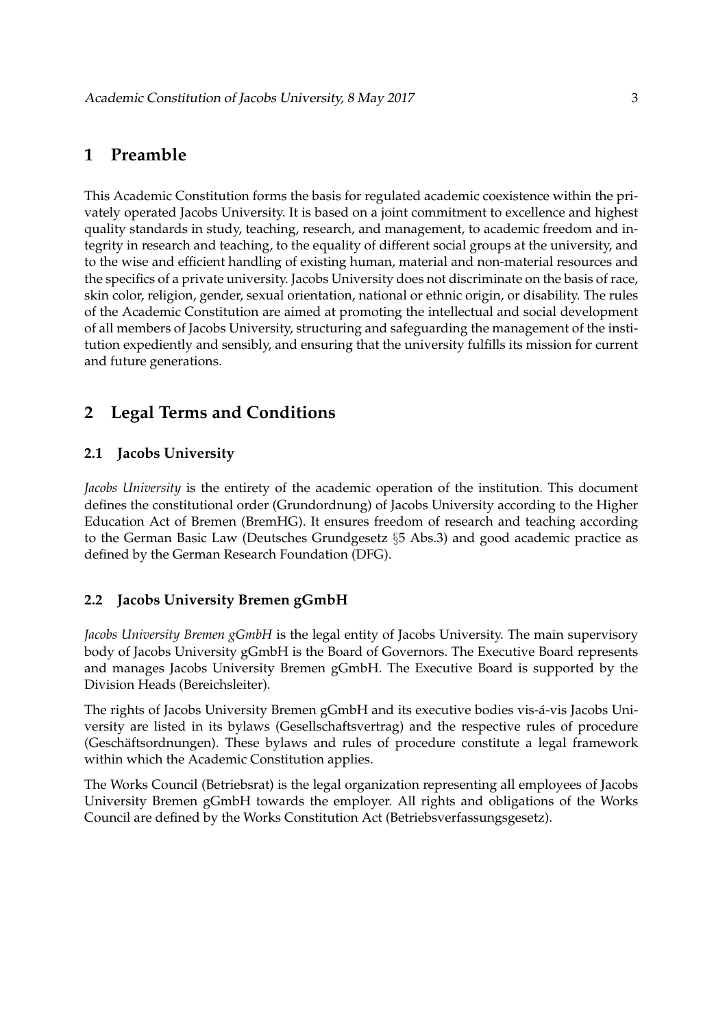# **1 Preamble**

This Academic Constitution forms the basis for regulated academic coexistence within the privately operated Jacobs University. It is based on a joint commitment to excellence and highest quality standards in study, teaching, research, and management, to academic freedom and integrity in research and teaching, to the equality of different social groups at the university, and to the wise and efficient handling of existing human, material and non-material resources and the specifics of a private university. Jacobs University does not discriminate on the basis of race, skin color, religion, gender, sexual orientation, national or ethnic origin, or disability. The rules of the Academic Constitution are aimed at promoting the intellectual and social development of all members of Jacobs University, structuring and safeguarding the management of the institution expediently and sensibly, and ensuring that the university fulfills its mission for current and future generations.

# **2 Legal Terms and Conditions**

### **2.1 Jacobs University**

*Jacobs University* is the entirety of the academic operation of the institution. This document defines the constitutional order (Grundordnung) of Jacobs University according to the Higher Education Act of Bremen (BremHG). It ensures freedom of research and teaching according to the German Basic Law (Deutsches Grundgesetz §5 Abs.3) and good academic practice as defined by the German Research Foundation (DFG).

### **2.2 Jacobs University Bremen gGmbH**

*Jacobs University Bremen gGmbH* is the legal entity of Jacobs University. The main supervisory body of Jacobs University gGmbH is the Board of Governors. The Executive Board represents and manages Jacobs University Bremen gGmbH. The Executive Board is supported by the Division Heads (Bereichsleiter).

The rights of Jacobs University Bremen gGmbH and its executive bodies vis-á-vis Jacobs University are listed in its bylaws (Gesellschaftsvertrag) and the respective rules of procedure (Geschäftsordnungen). These bylaws and rules of procedure constitute a legal framework within which the Academic Constitution applies.

The Works Council (Betriebsrat) is the legal organization representing all employees of Jacobs University Bremen gGmbH towards the employer. All rights and obligations of the Works Council are defined by the Works Constitution Act (Betriebsverfassungsgesetz).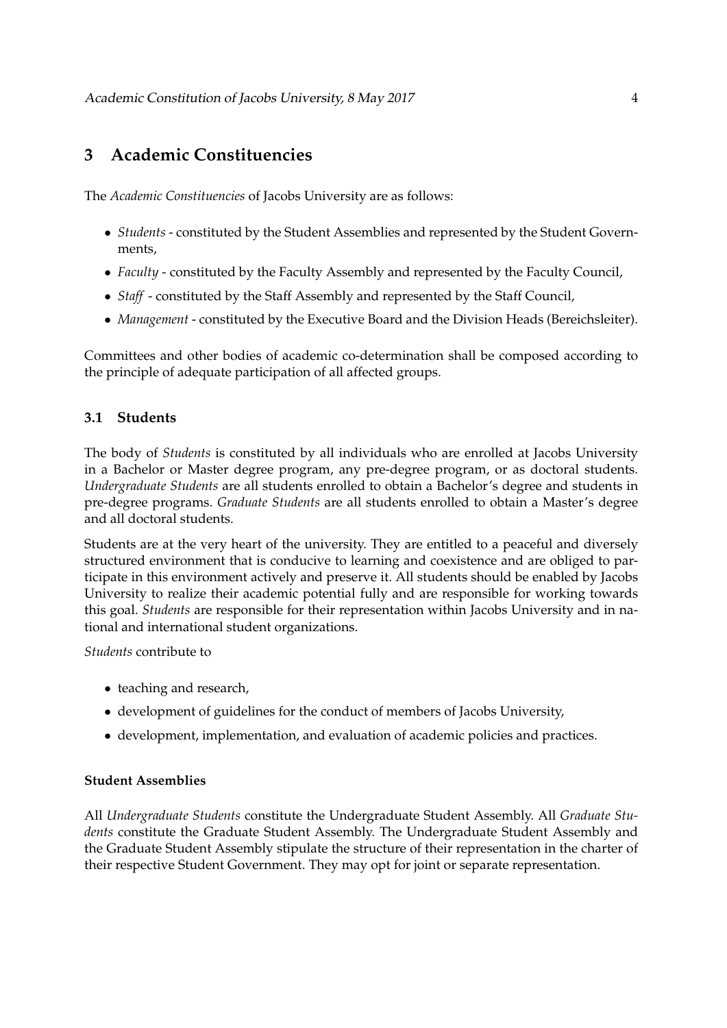# **3 Academic Constituencies**

The *Academic Constituencies* of Jacobs University are as follows:

- *Students* constituted by the Student Assemblies and represented by the Student Governments,
- *Faculty* constituted by the Faculty Assembly and represented by the Faculty Council,
- *Staff* constituted by the Staff Assembly and represented by the Staff Council,
- *Management* constituted by the Executive Board and the Division Heads (Bereichsleiter).

Committees and other bodies of academic co-determination shall be composed according to the principle of adequate participation of all affected groups.

### **3.1 Students**

The body of *Students* is constituted by all individuals who are enrolled at Jacobs University in a Bachelor or Master degree program, any pre-degree program, or as doctoral students. *Undergraduate Students* are all students enrolled to obtain a Bachelor's degree and students in pre-degree programs. *Graduate Students* are all students enrolled to obtain a Master's degree and all doctoral students.

Students are at the very heart of the university. They are entitled to a peaceful and diversely structured environment that is conducive to learning and coexistence and are obliged to participate in this environment actively and preserve it. All students should be enabled by Jacobs University to realize their academic potential fully and are responsible for working towards this goal. *Students* are responsible for their representation within Jacobs University and in national and international student organizations.

*Students* contribute to

- teaching and research,
- development of guidelines for the conduct of members of Jacobs University,
- development, implementation, and evaluation of academic policies and practices.

#### **Student Assemblies**

All *Undergraduate Students* constitute the Undergraduate Student Assembly. All *Graduate Students* constitute the Graduate Student Assembly. The Undergraduate Student Assembly and the Graduate Student Assembly stipulate the structure of their representation in the charter of their respective Student Government. They may opt for joint or separate representation.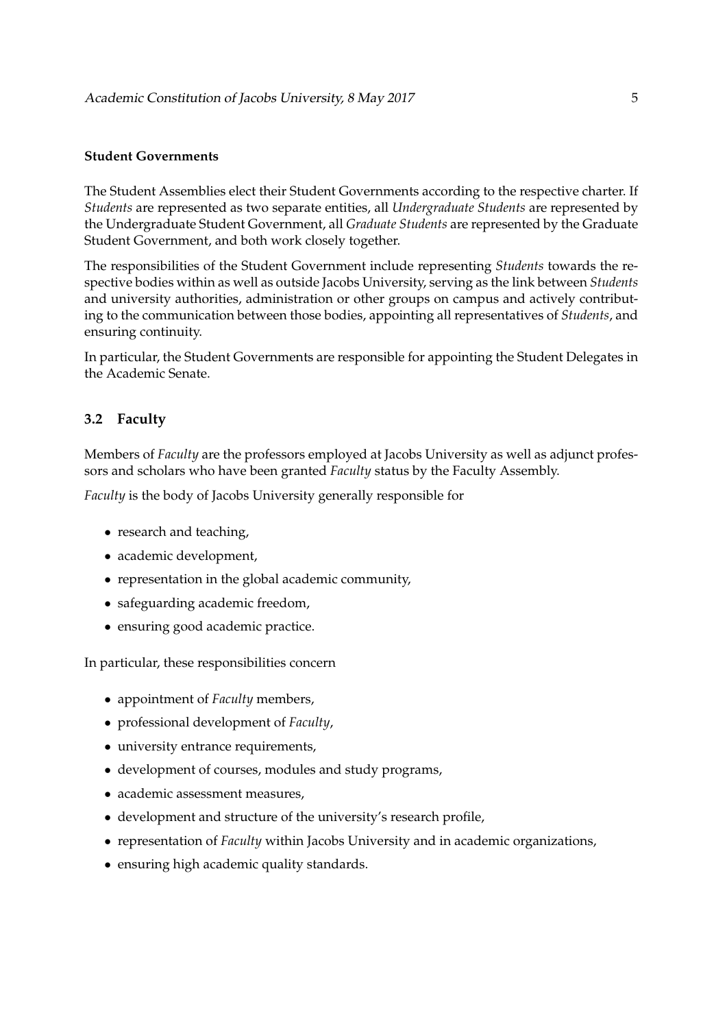#### **Student Governments**

The Student Assemblies elect their Student Governments according to the respective charter. If *Students* are represented as two separate entities, all *Undergraduate Students* are represented by the Undergraduate Student Government, all *Graduate Students* are represented by the Graduate Student Government, and both work closely together.

The responsibilities of the Student Government include representing *Students* towards the respective bodies within as well as outside Jacobs University, serving as the link between *Students* and university authorities, administration or other groups on campus and actively contributing to the communication between those bodies, appointing all representatives of *Students*, and ensuring continuity.

In particular, the Student Governments are responsible for appointing the Student Delegates in the Academic Senate.

### **3.2 Faculty**

Members of *Faculty* are the professors employed at Jacobs University as well as adjunct professors and scholars who have been granted *Faculty* status by the Faculty Assembly.

*Faculty* is the body of Jacobs University generally responsible for

- research and teaching,
- academic development,
- representation in the global academic community,
- safeguarding academic freedom,
- ensuring good academic practice.

In particular, these responsibilities concern

- appointment of *Faculty* members,
- professional development of *Faculty*,
- university entrance requirements,
- development of courses, modules and study programs,
- academic assessment measures,
- development and structure of the university's research profile,
- representation of *Faculty* within Jacobs University and in academic organizations,
- ensuring high academic quality standards.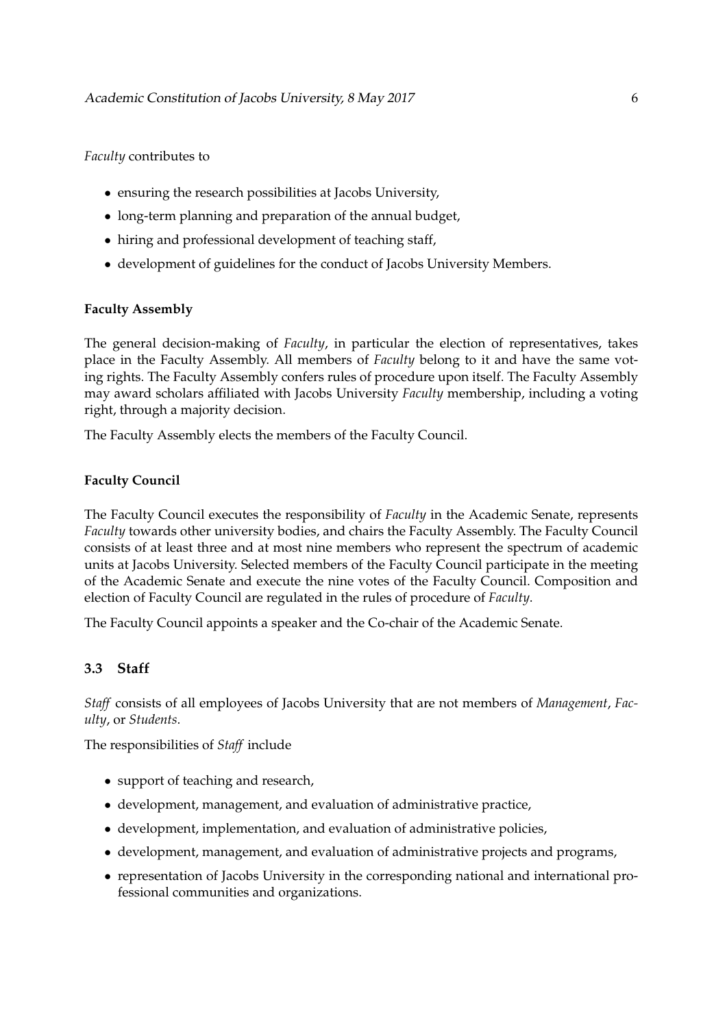### *Faculty* contributes to

- ensuring the research possibilities at Jacobs University,
- long-term planning and preparation of the annual budget,
- hiring and professional development of teaching staff,
- development of guidelines for the conduct of Jacobs University Members.

### **Faculty Assembly**

The general decision-making of *Faculty*, in particular the election of representatives, takes place in the Faculty Assembly. All members of *Faculty* belong to it and have the same voting rights. The Faculty Assembly confers rules of procedure upon itself. The Faculty Assembly may award scholars affiliated with Jacobs University *Faculty* membership, including a voting right, through a majority decision.

The Faculty Assembly elects the members of the Faculty Council.

### **Faculty Council**

The Faculty Council executes the responsibility of *Faculty* in the Academic Senate, represents *Faculty* towards other university bodies, and chairs the Faculty Assembly. The Faculty Council consists of at least three and at most nine members who represent the spectrum of academic units at Jacobs University. Selected members of the Faculty Council participate in the meeting of the Academic Senate and execute the nine votes of the Faculty Council. Composition and election of Faculty Council are regulated in the rules of procedure of *Faculty*.

The Faculty Council appoints a speaker and the Co-chair of the Academic Senate.

### **3.3 Staff**

*Staff* consists of all employees of Jacobs University that are not members of *Management*, *Faculty*, or *Students*.

The responsibilities of *Staff* include

- support of teaching and research,
- development, management, and evaluation of administrative practice,
- development, implementation, and evaluation of administrative policies,
- development, management, and evaluation of administrative projects and programs,
- representation of Jacobs University in the corresponding national and international professional communities and organizations.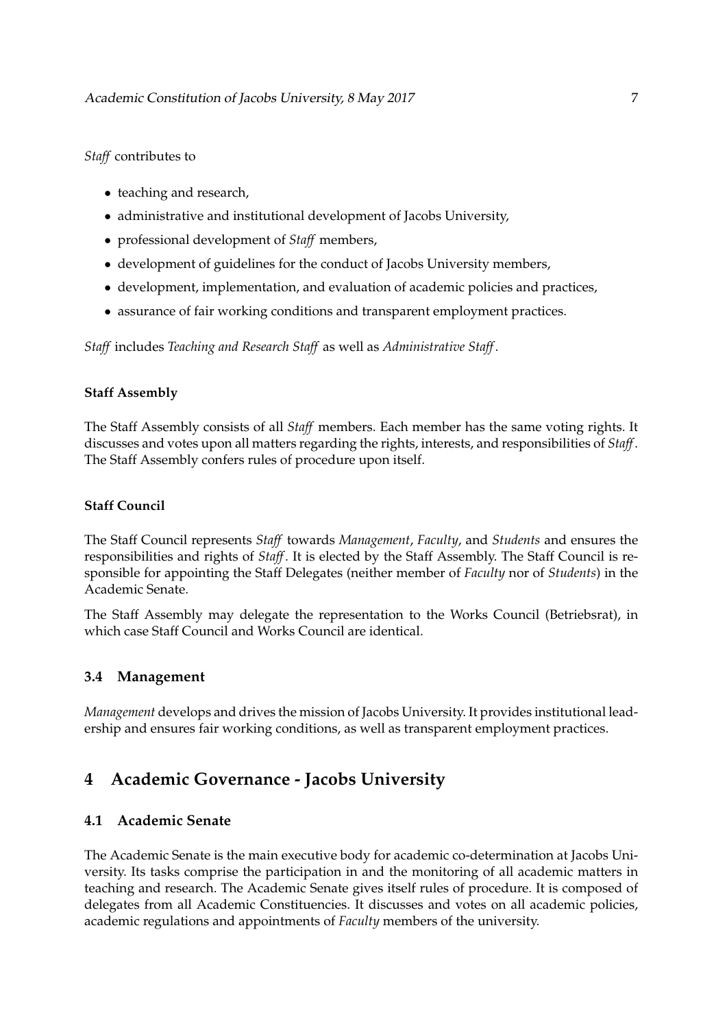### *Staff* contributes to

- teaching and research,
- administrative and institutional development of Jacobs University,
- professional development of *Staff* members,
- development of guidelines for the conduct of Jacobs University members,
- development, implementation, and evaluation of academic policies and practices,
- assurance of fair working conditions and transparent employment practices.

*Staff* includes *Teaching and Research Staff* as well as *Administrative Staff*.

### **Staff Assembly**

The Staff Assembly consists of all *Staff* members. Each member has the same voting rights. It discusses and votes upon all matters regarding the rights, interests, and responsibilities of *Staff*. The Staff Assembly confers rules of procedure upon itself.

### **Staff Council**

The Staff Council represents *Staff* towards *Management*, *Faculty*, and *Students* and ensures the responsibilities and rights of *Staff*. It is elected by the Staff Assembly. The Staff Council is responsible for appointing the Staff Delegates (neither member of *Faculty* nor of *Students*) in the Academic Senate.

The Staff Assembly may delegate the representation to the Works Council (Betriebsrat), in which case Staff Council and Works Council are identical.

### **3.4 Management**

*Management* develops and drives the mission of Jacobs University. It provides institutional leadership and ensures fair working conditions, as well as transparent employment practices.

# **4 Academic Governance - Jacobs University**

### **4.1 Academic Senate**

The Academic Senate is the main executive body for academic co-determination at Jacobs University. Its tasks comprise the participation in and the monitoring of all academic matters in teaching and research. The Academic Senate gives itself rules of procedure. It is composed of delegates from all Academic Constituencies. It discusses and votes on all academic policies, academic regulations and appointments of *Faculty* members of the university.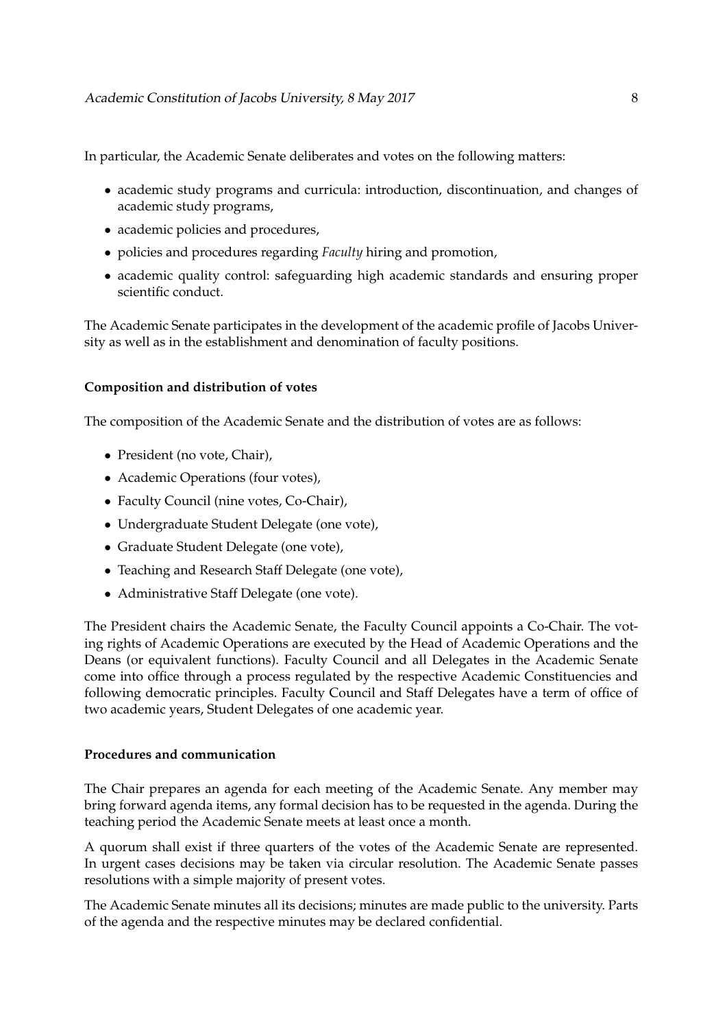In particular, the Academic Senate deliberates and votes on the following matters:

- academic study programs and curricula: introduction, discontinuation, and changes of academic study programs,
- academic policies and procedures,
- policies and procedures regarding *Faculty* hiring and promotion,
- academic quality control: safeguarding high academic standards and ensuring proper scientific conduct.

The Academic Senate participates in the development of the academic profile of Jacobs University as well as in the establishment and denomination of faculty positions.

### **Composition and distribution of votes**

The composition of the Academic Senate and the distribution of votes are as follows:

- President (no vote, Chair),
- Academic Operations (four votes),
- Faculty Council (nine votes, Co-Chair),
- Undergraduate Student Delegate (one vote),
- Graduate Student Delegate (one vote),
- Teaching and Research Staff Delegate (one vote),
- Administrative Staff Delegate (one vote).

The President chairs the Academic Senate, the Faculty Council appoints a Co-Chair. The voting rights of Academic Operations are executed by the Head of Academic Operations and the Deans (or equivalent functions). Faculty Council and all Delegates in the Academic Senate come into office through a process regulated by the respective Academic Constituencies and following democratic principles. Faculty Council and Staff Delegates have a term of office of two academic years, Student Delegates of one academic year.

#### **Procedures and communication**

The Chair prepares an agenda for each meeting of the Academic Senate. Any member may bring forward agenda items, any formal decision has to be requested in the agenda. During the teaching period the Academic Senate meets at least once a month.

A quorum shall exist if three quarters of the votes of the Academic Senate are represented. In urgent cases decisions may be taken via circular resolution. The Academic Senate passes resolutions with a simple majority of present votes.

The Academic Senate minutes all its decisions; minutes are made public to the university. Parts of the agenda and the respective minutes may be declared confidential.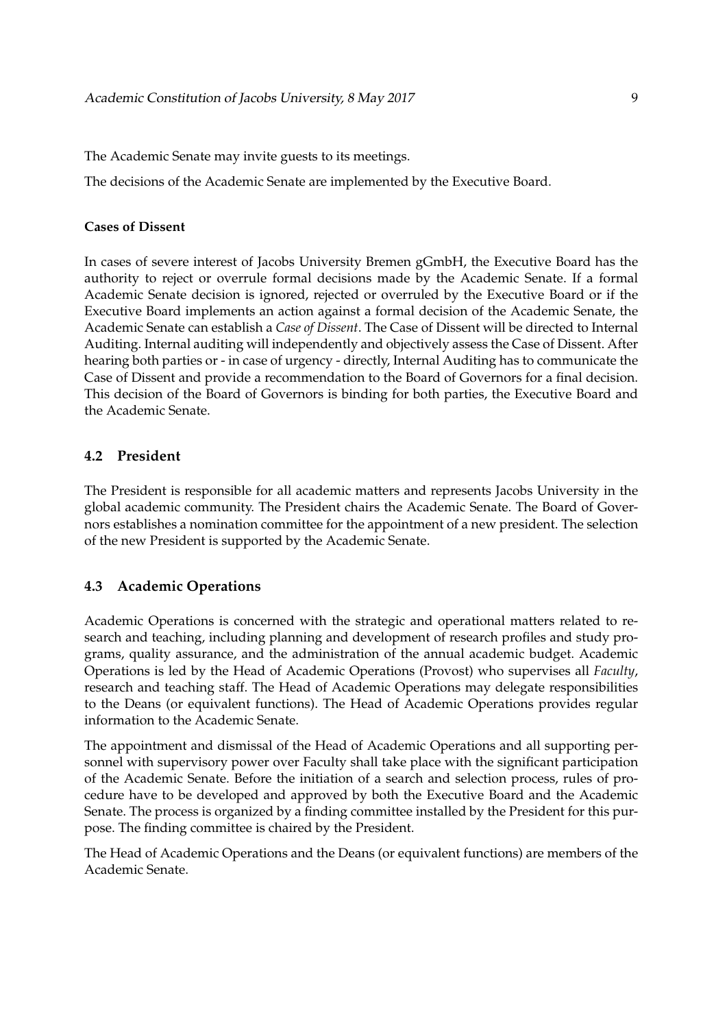The Academic Senate may invite guests to its meetings.

The decisions of the Academic Senate are implemented by the Executive Board.

#### **Cases of Dissent**

In cases of severe interest of Jacobs University Bremen gGmbH, the Executive Board has the authority to reject or overrule formal decisions made by the Academic Senate. If a formal Academic Senate decision is ignored, rejected or overruled by the Executive Board or if the Executive Board implements an action against a formal decision of the Academic Senate, the Academic Senate can establish a *Case of Dissent*. The Case of Dissent will be directed to Internal Auditing. Internal auditing will independently and objectively assess the Case of Dissent. After hearing both parties or - in case of urgency - directly, Internal Auditing has to communicate the Case of Dissent and provide a recommendation to the Board of Governors for a final decision. This decision of the Board of Governors is binding for both parties, the Executive Board and the Academic Senate.

#### **4.2 President**

The President is responsible for all academic matters and represents Jacobs University in the global academic community. The President chairs the Academic Senate. The Board of Governors establishes a nomination committee for the appointment of a new president. The selection of the new President is supported by the Academic Senate.

#### **4.3 Academic Operations**

Academic Operations is concerned with the strategic and operational matters related to research and teaching, including planning and development of research profiles and study programs, quality assurance, and the administration of the annual academic budget. Academic Operations is led by the Head of Academic Operations (Provost) who supervises all *Faculty*, research and teaching staff. The Head of Academic Operations may delegate responsibilities to the Deans (or equivalent functions). The Head of Academic Operations provides regular information to the Academic Senate.

The appointment and dismissal of the Head of Academic Operations and all supporting personnel with supervisory power over Faculty shall take place with the significant participation of the Academic Senate. Before the initiation of a search and selection process, rules of procedure have to be developed and approved by both the Executive Board and the Academic Senate. The process is organized by a finding committee installed by the President for this purpose. The finding committee is chaired by the President.

The Head of Academic Operations and the Deans (or equivalent functions) are members of the Academic Senate.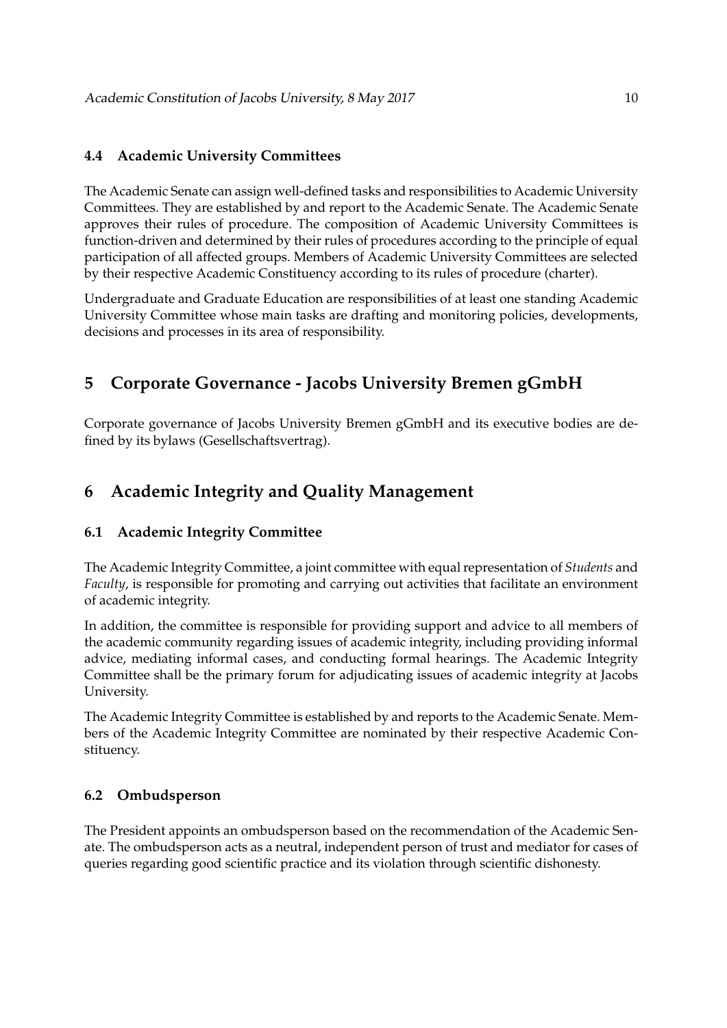### **4.4 Academic University Committees**

The Academic Senate can assign well-defined tasks and responsibilities to Academic University Committees. They are established by and report to the Academic Senate. The Academic Senate approves their rules of procedure. The composition of Academic University Committees is function-driven and determined by their rules of procedures according to the principle of equal participation of all affected groups. Members of Academic University Committees are selected by their respective Academic Constituency according to its rules of procedure (charter).

Undergraduate and Graduate Education are responsibilities of at least one standing Academic University Committee whose main tasks are drafting and monitoring policies, developments, decisions and processes in its area of responsibility.

# **5 Corporate Governance - Jacobs University Bremen gGmbH**

Corporate governance of Jacobs University Bremen gGmbH and its executive bodies are defined by its bylaws (Gesellschaftsvertrag).

# **6 Academic Integrity and Quality Management**

### **6.1 Academic Integrity Committee**

The Academic Integrity Committee, a joint committee with equal representation of *Students* and *Faculty*, is responsible for promoting and carrying out activities that facilitate an environment of academic integrity.

In addition, the committee is responsible for providing support and advice to all members of the academic community regarding issues of academic integrity, including providing informal advice, mediating informal cases, and conducting formal hearings. The Academic Integrity Committee shall be the primary forum for adjudicating issues of academic integrity at Jacobs University.

The Academic Integrity Committee is established by and reports to the Academic Senate. Members of the Academic Integrity Committee are nominated by their respective Academic Constituency.

### **6.2 Ombudsperson**

The President appoints an ombudsperson based on the recommendation of the Academic Senate. The ombudsperson acts as a neutral, independent person of trust and mediator for cases of queries regarding good scientific practice and its violation through scientific dishonesty.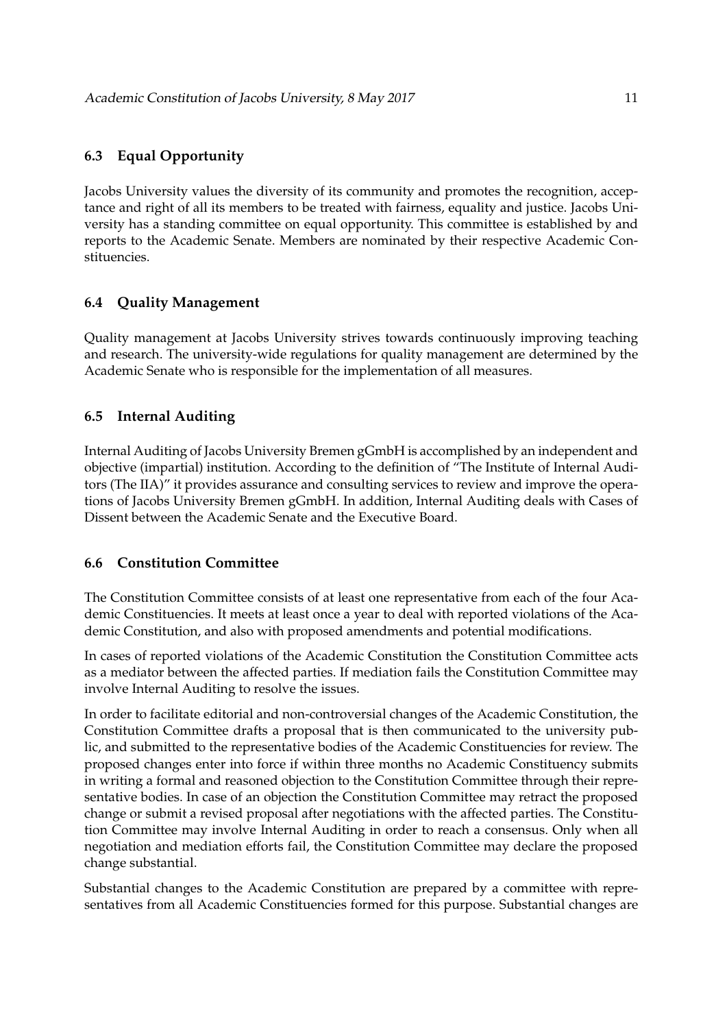## **6.3 Equal Opportunity**

Jacobs University values the diversity of its community and promotes the recognition, acceptance and right of all its members to be treated with fairness, equality and justice. Jacobs University has a standing committee on equal opportunity. This committee is established by and reports to the Academic Senate. Members are nominated by their respective Academic Constituencies.

### **6.4 Quality Management**

Quality management at Jacobs University strives towards continuously improving teaching and research. The university-wide regulations for quality management are determined by the Academic Senate who is responsible for the implementation of all measures.

### **6.5 Internal Auditing**

Internal Auditing of Jacobs University Bremen gGmbH is accomplished by an independent and objective (impartial) institution. According to the definition of "The Institute of Internal Auditors (The IIA)" it provides assurance and consulting services to review and improve the operations of Jacobs University Bremen gGmbH. In addition, Internal Auditing deals with Cases of Dissent between the Academic Senate and the Executive Board.

### **6.6 Constitution Committee**

The Constitution Committee consists of at least one representative from each of the four Academic Constituencies. It meets at least once a year to deal with reported violations of the Academic Constitution, and also with proposed amendments and potential modifications.

In cases of reported violations of the Academic Constitution the Constitution Committee acts as a mediator between the affected parties. If mediation fails the Constitution Committee may involve Internal Auditing to resolve the issues.

In order to facilitate editorial and non-controversial changes of the Academic Constitution, the Constitution Committee drafts a proposal that is then communicated to the university public, and submitted to the representative bodies of the Academic Constituencies for review. The proposed changes enter into force if within three months no Academic Constituency submits in writing a formal and reasoned objection to the Constitution Committee through their representative bodies. In case of an objection the Constitution Committee may retract the proposed change or submit a revised proposal after negotiations with the affected parties. The Constitution Committee may involve Internal Auditing in order to reach a consensus. Only when all negotiation and mediation efforts fail, the Constitution Committee may declare the proposed change substantial.

Substantial changes to the Academic Constitution are prepared by a committee with representatives from all Academic Constituencies formed for this purpose. Substantial changes are